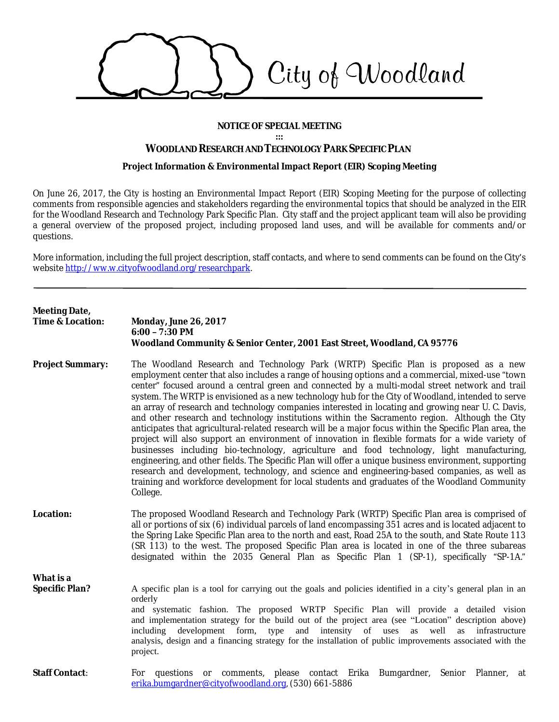

#### **NOTICE OF SPECIAL MEETING**

**:::**

## **WOODLAND RESEARCH AND TECHNOLOGY PARK SPECIFIC PLAN**

#### **Project Information & Environmental Impact Report (EIR) Scoping Meeting**

On June 26, 2017, the City is hosting an Environmental Impact Report (EIR) Scoping Meeting for the purpose of collecting comments from responsible agencies and stakeholders regarding the environmental topics that should be analyzed in the EIR for the Woodland Research and Technology Park Specific Plan. City staff and the project applicant team will also be providing a general overview of the proposed project, including proposed land uses, and will be available for comments and/or questions.

More information, including the full project description, staff contacts, and where to send comments can be found on the City's website <http://ww.w.cityofwoodland.org/researchpark>.

# **Meeting Date, Time & Location: Monday, June 26, 2017 6:00 – 7:30 PM Woodland Community & Senior Center, 2001 East Street, Woodland, CA 95776 Project Summary:** The Woodland Research and Technology Park (WRTP) Specific Plan is proposed as a new employment center that also includes a range of housing options and a commercial, mixed-use "town center" focused around a central green and connected by a multi-modal street network and trail system. The WRTP is envisioned as a new technology hub for the City of Woodland, intended to serve an array of research and technology companies interested in locating and growing near U. C. Davis, and other research and technology institutions within the Sacramento region. Although the City anticipates that agricultural-related research will be a major focus within the Specific Plan area, the project will also support an environment of innovation in flexible formats for a wide variety of businesses including bio-technology, agriculture and food technology, light manufacturing, engineering, and other fields. The Specific Plan will offer a unique business environment, supporting research and development, technology, and science and engineering-based companies, as well as training and workforce development for local students and graduates of the Woodland Community College. **Location:** The proposed Woodland Research and Technology Park (WRTP) Specific Plan area is comprised of all or portions of six (6) individual parcels of land encompassing 351 acres and is located adjacent to the Spring Lake Specific Plan area to the north and east, Road 25A to the south, and State Route 113 (SR 113) to the west. The proposed Specific Plan area is located in one of the three subareas designated within the 2035 General Plan as Specific Plan 1 (SP-1), specifically "SP-1A." **What is a Specific Plan?** A specific plan is a tool for carrying out the goals and policies identified in a city's general plan in an orderly and systematic fashion. The proposed WRTP Specific Plan will provide a detailed vision and implementation strategy for the build out of the project area (see "Location" description above) including development form, type and intensity of uses as well as infrastructure analysis, design and a financing strategy for the installation of public improvements associated with the project. **Staff Contact:** For questions or comments, please contact Erika Bumgardner, Senior Planner, at [erika.bumgardner@cityofwoodland.org](mailto:erika.bumgardner@cityofwoodland.org), (530) 661-5886